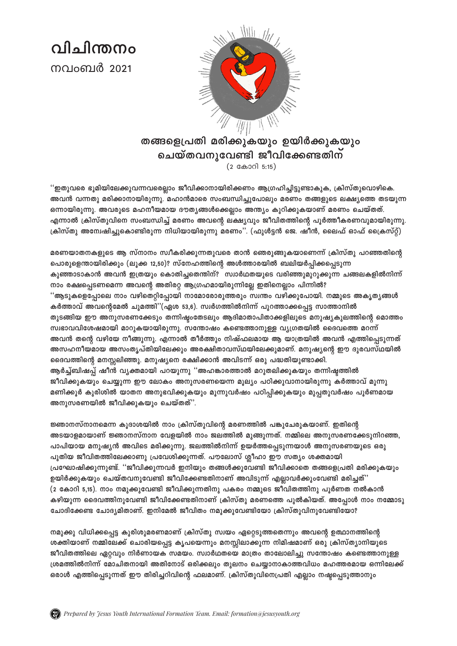വിചിന്തനപ നവംബർ 2021



## തങ്ങളെപ്രതി മരിക്കുകയും ഉയിർക്കുകയും ചെയ്തവനുവേണ്ടി ജീവിക്കേണ്ടതിന  $(2$  കോറി 5:15)

''ഇതുവരെ ഭൂമിയിലേക്കുവന്നവരെല്ലാം ജീവിക്കാനായിരിക്കണം ആഗ്രഹിച്ചിട്ടുണ്ടാകുക, ക്രിസ്തുവൊഴികെ. അവൻ വന്നതു മരിക്കാനായിരുന്നു. മഹാൻമാരെ സംബന്ധിച്ചുപോലും മരണം തങ്ങളുടെ ലക്ഷ്യത്തെ തടയുന്ന ഒന്നായിരുന്നു. അവരുടെ മഹനീയമായ ദൗതൃങ്ങൾക്കെല്ലാം അന്ത്യം കുറിക്കുകയാണ് മരണം ചെയ്തത്. എന്നാൽ ക്രിസ്തുവിനെ സംബന്ധിച്ച് മരണം അവന്റെ ലക്ഷ്യവും ജീവിതത്തിന്റെ പൂർത്തീകരണവുമായിരുന്നു. ക്രിസ്തു അന്വേഷിച്ചുകൊണ്ടിരുന്ന നിധിയായിരുന്നു മരണം''. (ഫുൾട്ടൻ ജെ. ഷീൻ, ലൈഫ് ഓഫ് ക്രൈസ്റ്റ്)

മരണയാതനകളുടെ ആ സ്നാനം സ്ഥീകരിക്കുന്നതുവരെ താൻ ഞെരുങ്ങുകയാണെന്ന് ക്രിസ്തു പറഞ്ഞതിന്റെ പൊരുളെന്തായിരിക്കും (ലൂക്ക 12,50)? സ്നേഹത്തിന്റെ അൾത്താരയിൽ ബലിയർപ്പിക്കപ്പെടുന്ന കുഞ്ഞാടാകാൻ അവൻ ഇത്രയും കൊതിച്ചതെന്തിന്? സ്വാർഥതയുടെ വരിഞ്ഞുമുറുക്കുന്ന ചങ്ങലകളിൽനിന്ന് നാം രക്ഷപ്പെടണമെന്ന അവന്റെ അതിരറ്റ ആഗ്രഹമായിരുന്നില്ലേ ഇതിനെല്ലാം പിന്നിൽ? ''ആടുകളെപ്പോലെ നാം വഴിതെറ്റിപ്പോയി നാമോരോരുത്തരും സ്വന്തം വഴിക്കുപോയി. നമ്മുടെ അകൃതൃങ്ങൾ കർത്താവ് അവന്റെമേൽ ചുമത്തി''(ഏശ 53,6). സ്വർഗത്തിൽനിന്ന് പുറത്താക്കപ്പെട്ട സാത്താനിൽ തുടങ്ങിയ ഈ അനുസരണക്കേടും തന്നിഷ്യംതേടലും ആദിമാതാപിതാക്കളിലൂടെ മനുഷ്യകുലത്തിന്റെ മൊത്തം സ്വഭാവവിശേഷമായി മാറുകയായിരുന്നു. സന്തോഷം കണ്ടെത്താനുള്ള വ്യഗ്രതയിൽ ദൈവത്തെ മറന്ന് അവൻ തന്റെ വഴിയേ നീങ്ങുന്നു. എന്നാൽ തീർത്തും നിഷ്ഫലമായ ആ യാത്രയിൽ അവൻ എത്തിപ്പെടുന്നത് അസഹനീയമായ അസംതൃപ്തിയിലേക്കും അരക്ഷിതാവസ്ഥയിലേക്കുമാണ്. മനുഷ്യന്റെ ഈ ദുരവസ്ഥയിൽ ദൈവത്തിന്റെ മനസ്സലിഞ്ഞു. മനുഷ്യനെ രക്ഷിക്കാൻ അവിടന്ന് ഒരു പദ്ധതിയുണ്ടാക്കി. ആർച്ച്ബിഷപ്പ് ഷീൻ വൃക്തമായി പറയുന്നു ''അഹങ്കാരത്താൽ മറുതലിക്കുകയും തന്നിഷ്ടത്തിൽ ജീവിക്കുകയും ചെയ്യുന്ന ഈ ലോകം അനുസരണയെന്ന മൂല്യം പഠിക്കുവാനായിരുന്നു കർത്താവ് മൂന്നു മണിക്കൂർ കുരിശിൽ യാതന അനുഭവിക്കുകയും മൂന്നുവർഷം പഠിപ്പിക്കുകയും മുപ്പതുവർഷം പൂർണമായ അനുസരണയിൽ ജീവിക്കുകയും ചെയ്തത്".

ജ്ഞാനസ്നാനമെന്ന കുദാശയിൽ നാം ക്രിസ്തുവിന്റെ മരണത്തിൽ പങ്കുചേരുകയാണ്. ഇതിന്റെ അടയാളമായാണ് ജ്ഞാനസ്നാന വേളയിൽ നാം ജലത്തിൽ മുങ്ങുന്നത്. നമ്മിലെ അനുസരണക്കേടുനിറഞ്ഞ, പാപിയായ മനുഷ്യൻ അവിടെ മരിക്കുന്നു. ജലത്തിൽനിന്ന് ഉയർത്തപ്പെടുന്നയാൾ അനുസരണയുടെ ഒരു പുതിയ ജീവിതത്തിലേക്കാണു പ്രവേശിക്കുന്നത്. പൗലോസ് ശ്ലീഹാ ഈ സത്യം ശക്തമായി പ്രഘോഷിക്കുന്നുണ്ട്. ''ജീവിക്കുന്നവർ ഇനിയും തങ്ങൾക്കുവേണ്ടി ജീവിക്കാതെ തങ്ങളെപ്രതി മരിക്കുകയും ഉയിർക്കുകയും ചെയ്തവനുവേണ്ടി ജീവിക്കേണ്ടതിനാണ് അവിടുന്ന് എല്ലാവർക്കുംവേണ്ടി മരിച്ചത്'' (2 കോറി 5,15). നാം നമുക്കുവേണ്ടി ജീവിക്കുന്നതിനു പകരം നമ്മുടെ ജീവിതത്തിനു പൂർണത നൽകാൻ കഴിയുന്ന ദൈവത്തിനുവേണ്ടി ജീവിക്കേണ്ടതിനാണ് ക്രിസ്തു മരണത്തെ പുൽകിയത്. അപ്പോൾ നാം നമ്മോടു ചോദിക്കേണ്ട ചോദ്യമിതാണ്. ഇനിമേൽ ജീവിതം നമുക്കുവേണ്ടിയോ ക്രിസ്തുവിനുവേണ്ടിയോ?

നമുക്കു വിധിക്കപ്പെട്ട കുരിശുമരണമാണ് ക്രിസ്തു സ്വയം ഏറ്റെടുത്തതെന്നും അവന്റെ ഉത്ഥാനത്തിന്റെ ശക്തിയാണ് നമ്മിലേക്ക് ചൊരിയപ്പെട്ട കൃപയെന്നും മനസ്സിലാക്കുന്ന നിമിഷമാണ് ഒരു ക്രിസ്ത്യാനിയുടെ ജീവിതത്തിലെ ഏറ്റവും നിർണായക സമയം. സ്വാർഥതയെ മാത്രം താലോലിച്ചു സന്തോഷം കണ്ടെത്താനുള്ള ശ്രമത്തിൽനിന്ന് മോചിതനായി അതിനോട് ഒരിക്കലും തുലനം ചെയ്യാനാകാത്തവിധം മഹത്തരമായ ഒന്നിലേക്ക് ഒരാൾ എത്തിപ്പെടുന്നത് ഈ തിരിച്ചറിവിന്റെ ഫലമാണ്. ക്രിസ്തുവിനെപ്രതി എല്ലാം നഷ്ടപ്പെടുത്താനും